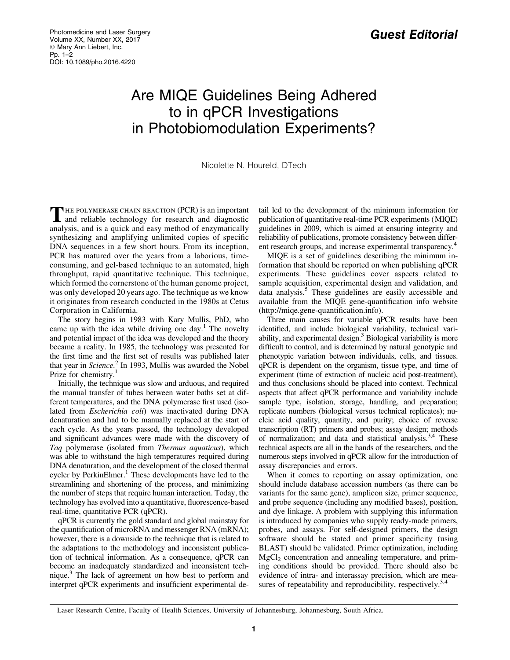## Are MIQE Guidelines Being Adhered to in qPCR Investigations in Photobiomodulation Experiments?

Nicolette N. Houreld, DTech

THE POLYMERASE CHAIN REACTION (PCR) is an important and reliable technology for research and diagnostic analysis, and is a quick and easy method of enzymatically synthesizing and amplifying unlimited copies of specific DNA sequences in a few short hours. From its inception, PCR has matured over the years from a laborious, timeconsuming, and gel-based technique to an automated, high throughput, rapid quantitative technique. This technique, which formed the cornerstone of the human genome project, was only developed 20 years ago. The technique as we know it originates from research conducted in the 1980s at Cetus Corporation in California.

The story begins in 1983 with Kary Mullis, PhD, who came up with the idea while driving one day.<sup>1</sup> The novelty and potential impact of the idea was developed and the theory became a reality. In 1985, the technology was presented for the first time and the first set of results was published later that year in *Science.*<sup>2</sup> In 1993, Mullis was awarded the Nobel Prize for chemistry.<sup>1</sup>

Initially, the technique was slow and arduous, and required the manual transfer of tubes between water baths set at different temperatures, and the DNA polymerase first used (isolated from *Escherichia coli*) was inactivated during DNA denaturation and had to be manually replaced at the start of each cycle. As the years passed, the technology developed and significant advances were made with the discovery of *Taq* polymerase (isolated from *Thermus aquaticus*), which was able to withstand the high temperatures required during DNA denaturation, and the development of the closed thermal cycler by PerkinElmer.<sup>1</sup> These developments have led to the streamlining and shortening of the process, and minimizing the number of steps that require human interaction. Today, the technology has evolved into a quantitative, fluorescence-based real-time, quantitative PCR (qPCR).

qPCR is currently the gold standard and global mainstay for the quantification of microRNA and messenger RNA (mRNA); however, there is a downside to the technique that is related to the adaptations to the methodology and inconsistent publication of technical information. As a consequence, qPCR can become an inadequately standardized and inconsistent technique. $3$  The lack of agreement on how best to perform and interpret qPCR experiments and insufficient experimental detail led to the development of the minimum information for publication of quantitative real-time PCR experiments (MIQE) guidelines in 2009, which is aimed at ensuring integrity and reliability of publications, promote consistency between different research groups, and increase experimental transparency.<sup>4</sup>

MIQE is a set of guidelines describing the minimum information that should be reported on when publishing qPCR experiments. These guidelines cover aspects related to sample acquisition, experimental design and validation, and data analysis.<sup>5</sup> These guidelines are easily accessible and available from the MIQE gene-quantification info website (http://miqe.gene-quantification.info).

Three main causes for variable qPCR results have been identified, and include biological variability, technical variability, and experimental design.<sup>3</sup> Biological variability is more difficult to control, and is determined by natural genotypic and phenotypic variation between individuals, cells, and tissues. qPCR is dependent on the organism, tissue type, and time of experiment (time of extraction of nucleic acid post-treatment), and thus conclusions should be placed into context. Technical aspects that affect qPCR performance and variability include sample type, isolation, storage, handling, and preparation; replicate numbers (biological versus technical replicates); nucleic acid quality, quantity, and purity; choice of reverse transcription (RT) primers and probes; assay design; methods of normalization; and data and statistical analysis. $3,4$  These technical aspects are all in the hands of the researchers, and the numerous steps involved in qPCR allow for the introduction of assay discrepancies and errors.

When it comes to reporting on assay optimization, one should include database accession numbers (as there can be variants for the same gene), amplicon size, primer sequence, and probe sequence (including any modified bases), position, and dye linkage. A problem with supplying this information is introduced by companies who supply ready-made primers, probes, and assays. For self-designed primers, the design software should be stated and primer specificity (using BLAST) should be validated. Primer optimization, including  $MgCl<sub>2</sub>$  concentration and annealing temperature, and priming conditions should be provided. There should also be evidence of intra- and interassay precision, which are measures of repeatability and reproducibility, respectively.<sup>3,4</sup>

Laser Research Centre, Faculty of Health Sciences, University of Johannesburg, Johannesburg, South Africa.